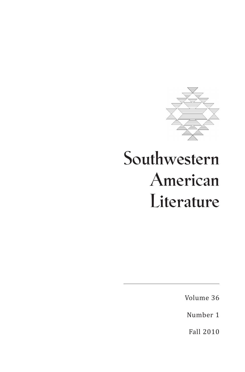

# **Southwestern American Literature**

Volume 36

Number 1

Fall 2010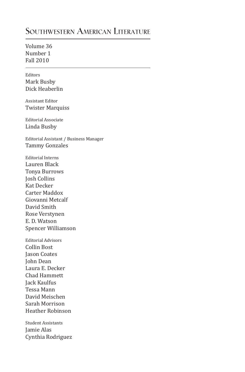### **Southwestern American Literature**

Volume 36 Number 1 Fall 2010

Editors Mark Busby Dick Heaberlin

Assistant Editor Twister Marquiss

Editorial Associate Linda Busby

Editorial Assistant / Business Manager Tammy Gonzales

Editorial Interns Lauren Black Tonya Burrows Josh Collins Kat Decker Carter Maddox Giovanni Metcalf David Smith Rose Verstynen E. D. Watson Spencer Williamson

Editorial Advisors Collin Bost Jason Coates John Dean Laura E. Decker Chad Hammett Jack Kaulfus Tessa Mann David Meischen Sarah Morrison Heather Robinson

Student Assistants Jamie Alas Cynthia Rodriguez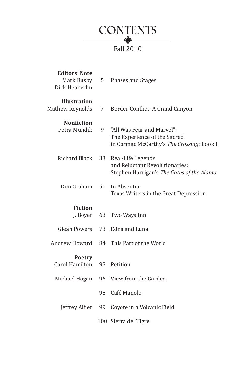

| <b>Editors' Note</b><br>Mark Busby<br>Dick Heaberlin | 5   | Phases and Stages                                                                                       |
|------------------------------------------------------|-----|---------------------------------------------------------------------------------------------------------|
| <b>Illustration</b><br><b>Mathew Reynolds</b>        | 7   | Border Conflict: A Grand Canyon                                                                         |
| <b>Nonfiction</b><br>Petra Mundik                    | 9   | "All Was Fear and Marvel":<br>The Experience of the Sacred<br>in Cormac McCarthy's The Crossing: Book I |
| Richard Black                                        | 33  | Real-Life Legends<br>and Reluctant Revolutionaries:<br>Stephen Harrigan's The Gates of the Alamo        |
| Don Graham                                           | 51  | In Absentia:<br>Texas Writers in the Great Depression                                                   |
| <b>Fiction</b><br>J. Boyer                           | 63  | Two Ways Inn                                                                                            |
| <b>Gleah Powers</b>                                  | 73  | Edna and Luna                                                                                           |
| Andrew Howard                                        | 84. | This Part of the World                                                                                  |
| <b>Poetry</b><br><b>Carol Hamilton</b>               |     | 95 Petition                                                                                             |
| Michael Hogan                                        | 96  | View from the Garden                                                                                    |
|                                                      | 98  | Café Manolo                                                                                             |
| Jeffrey Alfier                                       | 99  | Coyote in a Volcanic Field                                                                              |
|                                                      |     | 100 Sierra del Tigre                                                                                    |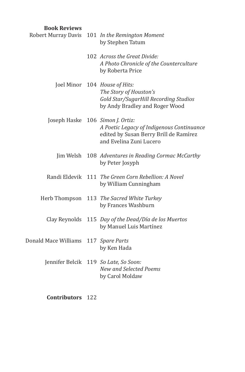| <b>Book Reviews</b>  |                                                                                                                                       |
|----------------------|---------------------------------------------------------------------------------------------------------------------------------------|
| Robert Murray Davis  | 101 In the Remington Moment<br>by Stephen Tatum                                                                                       |
|                      | 102 Across the Great Divide:<br>A Photo Chronicle of the Counterculture<br>by Roberta Price                                           |
| Joel Minor           | 104 House of Hits:<br>The Story of Houston's<br>Gold Star/SugarHill Recording Studios<br>by Andy Bradley and Roger Wood               |
| Joseph Haske         | 106 Simon J. Ortiz:<br>A Poetic Legacy of Indigenous Continuance<br>edited by Susan Berry Brill de Ramírez<br>and Evelina Zuni Lucero |
| Jim Welsh            | 108 Adventures in Reading Cormac McCarthy<br>by Peter Josyph                                                                          |
| Randi Eldevik        | 111 The Green Corn Rebellion: A Novel<br>by William Cunningham                                                                        |
| Herb Thompson        | 113 The Sacred White Turkey<br>by Frances Washburn                                                                                    |
| Clay Reynolds        | 115 Day of the Dead/Día de los Muertos<br>by Manuel Luis Martínez                                                                     |
| Donald Mace Williams | 117 Spare Parts<br>by Ken Hada                                                                                                        |
| Jennifer Belcik      | 119 So Late, So Soon:<br>New and Selected Poems<br>by Carol Moldaw                                                                    |

**Contributors** 122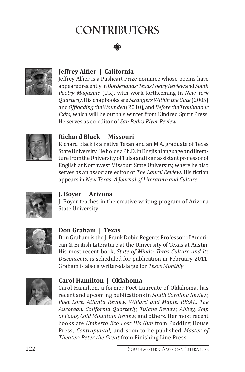## **Contributors**



#### **Jeffrey Alfier | California**

Jeffrey Alfier is a Pushcart Prize nominee whose poems have appeared recently in *Borderlands: Texas Poetry Review* and *South Poetry Magazine* (UK), with work forthcoming in *New York Quarterly*. His chapbooks are *Strangers Within the Gate* (2005) and *Offloading the Wounded* (2010), and *Before the Troubadour Exits*, which will be out this winter from Kindred Spirit Press. He serves as co-editor of *San Pedro River Review*.



#### **Richard Black | Missouri**

Richard Black is a native Texan and an M.A. graduate of Texas State University. He holds a Ph.D. in English language and literature from the University of Tulsa and is an assistant professor of English at Northwest Missouri State University, where he also serves as an associate editor of *The Laurel Review*. His fiction appears in *New Texas: A Journal of Literature and Culture*.



#### **J. Boyer | Arizona**

J. Boyer teaches in the creative writing program of Arizona State University.



#### **Don Graham | Texas**

Don Graham is the J. Frank Dobie Regents Professor of American & British Literature at the University of Texas at Austin. His most recent book, *State of Minds: Texas Culture and Its Discontents*, is scheduled for publication in February 2011. Graham is also a writer-at-large for *Texas Monthly*.



#### **Carol Hamilton | Oklahoma**

Carol Hamilton, a former Poet Laureate of Oklahoma, has recent and upcoming publications in *South Carolina Review, Poet Lore, Atlanta Review, Willard and Maple, RE:AL, The Aurorean, California Quarterly, Tulane Review, Abbey, Ship of Fools, Cold Mountain Review,* and others. Her most recent books are *Umberto Eco Lost His Gun* from Pudding House Press, *Contrapuntal*, and soon-to-be-published *Master of Theater: Peter the Great* from Finishing Line Press.